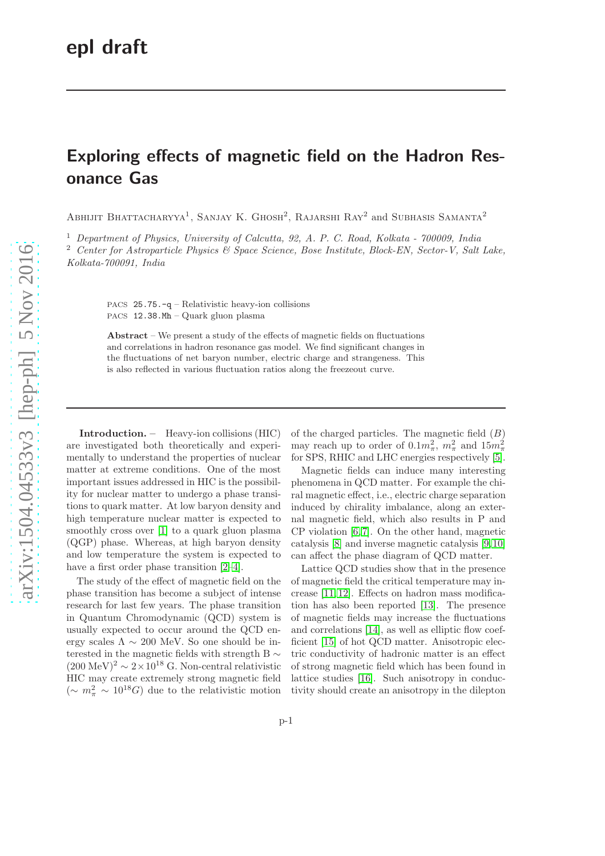## Exploring effects of magnetic field on the Hadron Resonance Gas

ABHIJIT BHATTACHARYYA<sup>1</sup>, SANJAY K. GHOSH<sup>2</sup>, RAJARSHI RAY<sup>2</sup> and SUBHASIS SAMANTA<sup>2</sup>

<sup>1</sup> Department of Physics, University of Calcutta, 92, A. P. C. Road, Kolkata - 700009, India

<sup>2</sup> Center for Astroparticle Physics & Space Science, Bose Institute, Block-EN, Sector-V, Salt Lake, Kolkata-700091, India

PACS 25.75.-q – Relativistic heavy-ion collisions PACS 12.38.Mh – Quark gluon plasma

Abstract – We present a study of the effects of magnetic fields on fluctuations and correlations in hadron resonance gas model. We find significant changes in the fluctuations of net baryon number, electric charge and strangeness. This is also reflected in various fluctuation ratios along the freezeout curve.

Introduction. – Heavy-ion collisions (HIC) are investigated both theoretically and experimentally to understand the properties of nuclear matter at extreme conditions. One of the most important issues addressed in HIC is the possibility for nuclear matter to undergo a phase transitions to quark matter. At low baryon density and high temperature nuclear matter is expected to smoothly cross over [\[1\]](#page-6-0) to a quark gluon plasma (QGP) phase. Whereas, at high baryon density and low temperature the system is expected to have a first order phase transition  $[2-4]$ .

The study of the effect of magnetic field on the phase transition has become a subject of intense research for last few years. The phase transition in Quantum Chromodynamic (QCD) system is usually expected to occur around the QCD energy scales  $\Lambda \sim 200$  MeV. So one should be interested in the magnetic fields with strength B ∼  $(200 \text{ MeV})^2 \sim 2 \times 10^{18} \text{ G}$ . Non-central relativistic HIC may create extremely strong magnetic field  $({\sim m_{\pi}^2 \sim 10^{18} G})$  due to the relativistic motion

of the charged particles. The magnetic field  $(B)$ may reach up to order of  $0.1m_{\pi}^2$ ,  $m_{\pi}^2$  and  $15m_{\pi}^2$ for SPS, RHIC and LHC energies respectively [\[5\]](#page-6-3).

Magnetic fields can induce many interesting phenomena in QCD matter. For example the chiral magnetic effect, i.e., electric charge separation induced by chirality imbalance, along an external magnetic field, which also results in P and CP violation [\[6,](#page-6-4) [7\]](#page-6-5). On the other hand, magnetic catalysis [\[8\]](#page-6-6) and inverse magnetic catalysis [\[9,](#page-6-7)[10\]](#page-6-8) can affect the phase diagram of QCD matter.

Lattice QCD studies show that in the presence of magnetic field the critical temperature may increase [\[11,](#page-6-9) [12\]](#page-6-10). Effects on hadron mass modification has also been reported [\[13\]](#page-6-11). The presence of magnetic fields may increase the fluctuations and correlations [\[14\]](#page-6-12), as well as elliptic flow coefficient [\[15\]](#page-6-13) of hot QCD matter. Anisotropic electric conductivity of hadronic matter is an effect of strong magnetic field which has been found in lattice studies [\[16\]](#page-6-14). Such anisotropy in conductivity should create an anisotropy in the dilepton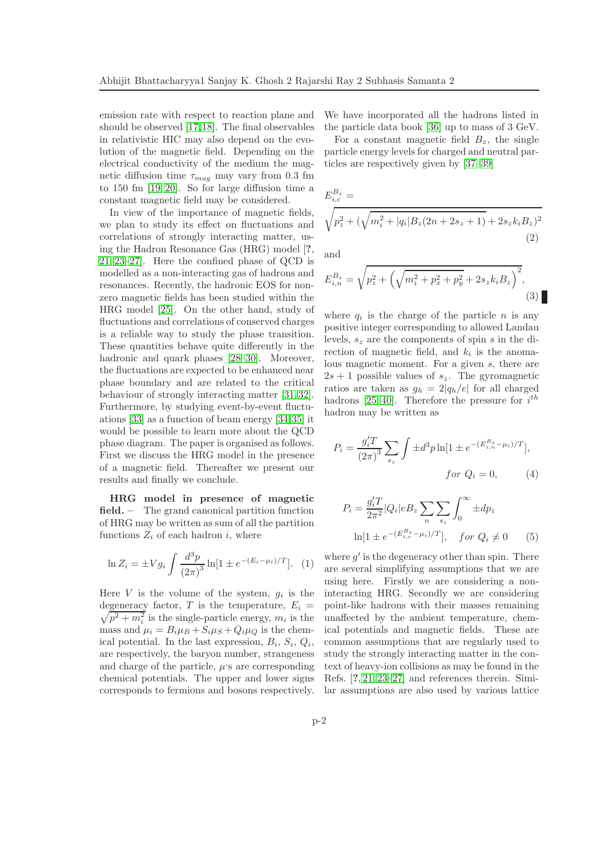emission rate with respect to reaction plane and should be observed [\[17,](#page-6-15)[18\]](#page-6-16). The final observables in relativistic HIC may also depend on the evolution of the magnetic field. Depending on the electrical conductivity of the medium the magnetic diffusion time  $\tau_{mag}$  may vary from 0.3 fm to 150 fm [\[19,](#page-6-17) [20\]](#page-6-18). So for large diffusion time a constant magnetic field may be considered.

In view of the importance of magnetic fields, we plan to study its effect on fluctuations and correlations of strongly interacting matter, using the Hadron Resonance Gas (HRG) model [?, [21,](#page-6-19) [23–](#page-6-20)[27\]](#page-6-21). Here the confined phase of QCD is modelled as a non-interacting gas of hadrons and resonances. Recently, the hadronic EOS for nonzero magnetic fields has been studied within the HRG model [\[25\]](#page-6-22). On the other hand, study of fluctuations and correlations of conserved charges is a reliable way to study the phase transition. These quantities behave quite differently in the hadronic and quark phases [\[28–](#page-6-23)[30\]](#page-6-24). Moreover, the fluctuations are expected to be enhanced near phase boundary and are related to the critical behaviour of strongly interacting matter [\[31,](#page-6-25) [32\]](#page-6-26). Furthermore, by studying event-by-event fluctuations [\[33\]](#page-6-27) as a function of beam energy [\[34,](#page-6-28)[35\]](#page-6-29) it would be possible to learn more about the QCD phase diagram. The paper is organised as follows. First we discuss the HRG model in the presence of a magnetic field. Thereafter we present our results and finally we conclude.

HRG model in presence of magnetic field. – The grand canonical partition function of HRG may be written as sum of all the partition functions  $Z_i$  of each hadron i, where

$$
\ln Z_i = \pm V g_i \int \frac{d^3 p}{(2\pi)^3} \ln[1 \pm e^{-(E_i - \mu_i)/T}]. \tag{1}
$$

Here V is the volume of the system,  $g_i$  is the degeneracy factor, T is the temperature,  $E_i =$  $\sqrt{p^2 + m_i^2}$  is the single-particle energy,  $m_i$  is the mass and  $\mu_i = B_i \mu_B + S_i \mu_S + Q_i \mu_O$  is the chemical potential. In the last expression,  $B_i$ ,  $S_i$ ,  $Q_i$ , are respectively, the baryon number, strangeness and charge of the particle,  $\mu$ 's are corresponding chemical potentials. The upper and lower signs corresponds to fermions and bosons respectively. We have incorporated all the hadrons listed in the particle data book [\[36\]](#page-6-30) up to mass of 3 GeV.

For a constant magnetic field  $B_z$ , the single particle energy levels for charged and neutral particles are respectively given by [\[37–](#page-6-31)[39\]](#page-6-32)

$$
E_{i,c}^{B_z} = \sqrt{p_z^2 + (\sqrt{m_i^2 + |q_i|B_z(2n + 2s_z + 1)} + 2s_zk_iB_z)^2}
$$
\n(2)

and

$$
E_{i,n}^{B_z} = \sqrt{p_z^2 + \left(\sqrt{m_i^2 + p_x^2 + p_y^2 + 2s_z k_i B_z}\right)^2},\tag{3}
$$

where  $q_i$  is the charge of the particle n is any positive integer corresponding to allowed Landau levels,  $s_z$  are the components of spin s in the direction of magnetic field, and  $k_i$  is the anomalous magnetic moment. For a given s, there are  $2s + 1$  possible values of  $s_z$ . The gyromagnetic ratios are taken as  $g_h = 2|q_h/e|$  for all charged hadrons [\[25,](#page-6-22) [40\]](#page-6-33). Therefore the pressure for  $i^{th}$ hadron may be written as

$$
P_i = \frac{g_i'^T}{(2\pi)^3} \sum_{s_z} \int \pm d^3 p \ln[1 \pm e^{-(E_{i,n}^{B_z} - \mu_i)/T}],
$$
  
for  $Q_i = 0$ , (4)

$$
P_i = \frac{g_i' T}{2\pi^2} |Q_i| e B_z \sum_n \sum_{s_z} \int_0^\infty \pm dp_z
$$
  
 
$$
\ln[1 \pm e^{-(E_{i,c}^{B_z} - \mu_i)/T}], \quad \text{for } Q_i \neq 0 \qquad (5)
$$

where  $g'$  is the degeneracy other than spin. There are several simplifying assumptions that we are using here. Firstly we are considering a noninteracting HRG. Secondly we are considering point-like hadrons with their masses remaining unaffected by the ambient temperature, chemical potentials and magnetic fields. These are common assumptions that are regularly used to study the strongly interacting matter in the context of heavy-ion collisions as may be found in the Refs. [?, [21,](#page-6-19) [23–](#page-6-20)[27\]](#page-6-21) and references therein. Similar assumptions are also used by various lattice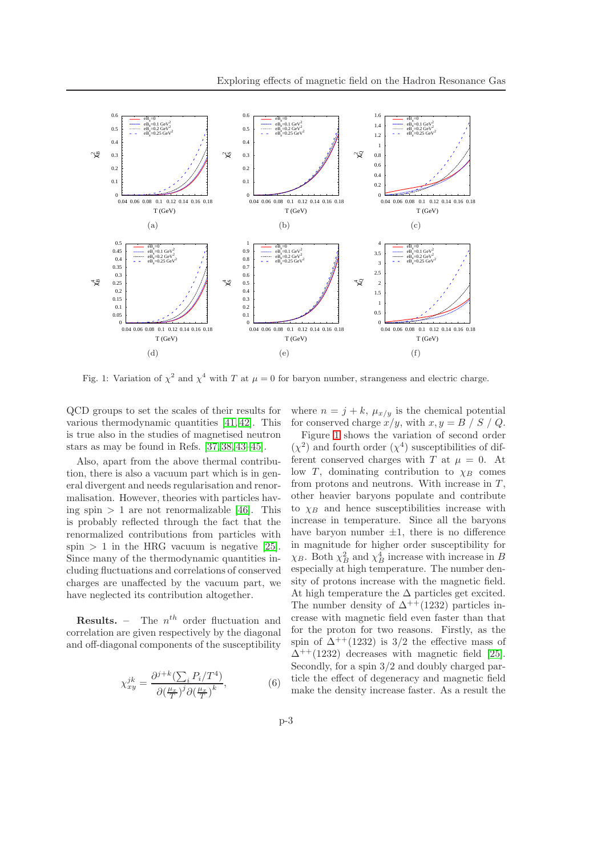

<span id="page-2-0"></span>Fig. 1: Variation of  $\chi^2$  and  $\chi^4$  with T at  $\mu = 0$  for baryon number, strangeness and electric charge.

QCD groups to set the scales of their results for various thermodynamic quantities [\[41,](#page-6-34) [42\]](#page-6-35). This is true also in the studies of magnetised neutron stars as may be found in Refs. [\[37,](#page-6-31) [38,](#page-6-36) [43–](#page-6-37)[45\]](#page-6-38).

Also, apart from the above thermal contribution, there is also a vacuum part which is in general divergent and needs regularisation and renormalisation. However, theories with particles having spin  $> 1$  are not renormalizable [\[46\]](#page-6-39). This is probably reflected through the fact that the renormalized contributions from particles with spin  $> 1$  in the HRG vacuum is negative [\[25\]](#page-6-22). Since many of the thermodynamic quantities including fluctuations and correlations of conserved charges are unaffected by the vacuum part, we have neglected its contribution altogether.

**Results.** – The  $n^{th}$  order fluctuation and correlation are given respectively by the diagonal and off-diagonal components of the susceptibility

$$
\chi_{xy}^{jk} = \frac{\partial^{j+k} (\sum_{i} P_i/T^4)}{\partial \left(\frac{\mu_x}{T}\right)^j \partial \left(\frac{\mu_x}{T}\right)^k},\tag{6}
$$

where  $n = j + k$ ,  $\mu_{x/y}$  is the chemical potential for conserved charge  $x/y$ , with  $x, y = B / S / Q$ .

Figure [1](#page-2-0) shows the variation of second order  $(\chi^2)$  and fourth order  $(\chi^4)$  susceptibilities of different conserved charges with T at  $\mu = 0$ . At low T, dominating contribution to  $\chi_B$  comes from protons and neutrons. With increase in  $T$ , other heavier baryons populate and contribute to  $\chi_B$  and hence susceptibilities increase with increase in temperature. Since all the baryons have baryon number  $\pm 1$ , there is no difference in magnitude for higher order susceptibility for  $\chi_B$ . Both  $\chi_B^2$  and  $\chi_B^4$  increase with increase in B especially at high temperature. The number density of protons increase with the magnetic field. At high temperature the  $\Delta$  particles get excited. The number density of  $\Delta^{++}(1232)$  particles increase with magnetic field even faster than that for the proton for two reasons. Firstly, as the spin of  $\Delta^{++}(1232)$  is 3/2 the effective mass of  $\Delta^{++}(1232)$  decreases with magnetic field [\[25\]](#page-6-22). Secondly, for a spin 3/2 and doubly charged particle the effect of degeneracy and magnetic field make the density increase faster. As a result the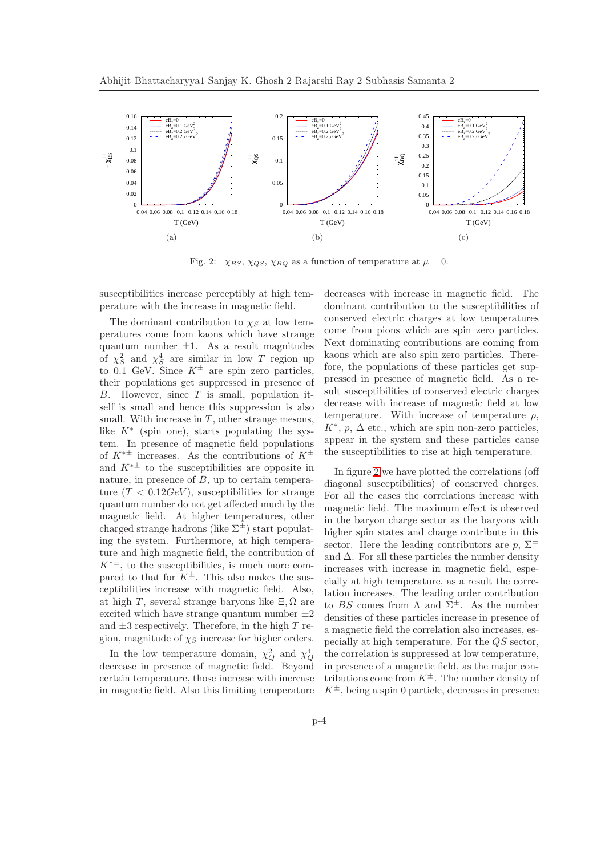

<span id="page-3-0"></span>Fig. 2:  $\chi_{BS}$ ,  $\chi_{QS}$ ,  $\chi_{BQ}$  as a function of temperature at  $\mu = 0$ .

susceptibilities increase perceptibly at high temperature with the increase in magnetic field.

The dominant contribution to  $\chi_S$  at low temperatures come from kaons which have strange quantum number  $\pm 1$ . As a result magnitudes of  $\chi_S^2$  and  $\chi_S^4$  are similar in low T region up to 0.1 GeV. Since  $K^{\pm}$  are spin zero particles, their populations get suppressed in presence of  $B.$  However, since  $T$  is small, population itself is small and hence this suppression is also small. With increase in  $T$ , other strange mesons, like  $K^*$  (spin one), starts populating the system. In presence of magnetic field populations of  $K^{*\pm}$  increases. As the contributions of  $K^{\pm}$ and  $K^{*\pm}$  to the susceptibilities are opposite in nature, in presence of  $B$ , up to certain temperature  $(T < 0.12 GeV)$ , susceptibilities for strange quantum number do not get affected much by the magnetic field. At higher temperatures, other charged strange hadrons (like  $\Sigma^{\pm}$ ) start populating the system. Furthermore, at high temperature and high magnetic field, the contribution of  $K^{*\pm}$ , to the susceptibilities, is much more compared to that for  $K^{\pm}$ . This also makes the susceptibilities increase with magnetic field. Also, at high T, several strange baryons like  $\Xi$ ,  $\Omega$  are excited which have strange quantum number  $\pm 2$ and  $\pm 3$  respectively. Therefore, in the high T region, magnitude of  $\chi_S$  increase for higher orders.

In the low temperature domain,  $\chi_Q^2$  and  $\chi_Q^4$  decrease in presence of magnetic field. Beyond certain temperature, those increase with increase in magnetic field. Also this limiting temperature

decreases with increase in magnetic field. The dominant contribution to the susceptibilities of conserved electric charges at low temperatures come from pions which are spin zero particles. Next dominating contributions are coming from kaons which are also spin zero particles. Therefore, the populations of these particles get suppressed in presence of magnetic field. As a result susceptibilities of conserved electric charges decrease with increase of magnetic field at low temperature. With increase of temperature  $\rho$ ,  $K^*, p, \Delta$  etc., which are spin non-zero particles, appear in the system and these particles cause the susceptibilities to rise at high temperature.

In figure [2](#page-3-0) we have plotted the correlations (off diagonal susceptibilities) of conserved charges. For all the cases the correlations increase with magnetic field. The maximum effect is observed in the baryon charge sector as the baryons with higher spin states and charge contribute in this sector. Here the leading contributors are  $p$ ,  $\Sigma^{\pm}$ and  $\Delta$ . For all these particles the number density increases with increase in magnetic field, especially at high temperature, as a result the correlation increases. The leading order contribution to BS comes from  $\Lambda$  and  $\Sigma^{\pm}$ . As the number densities of these particles increase in presence of a magnetic field the correlation also increases, especially at high temperature. For the QS sector, the correlation is suppressed at low temperature, in presence of a magnetic field, as the major contributions come from  $K^{\pm}$ . The number density of  $K^{\pm}$ , being a spin 0 particle, decreases in presence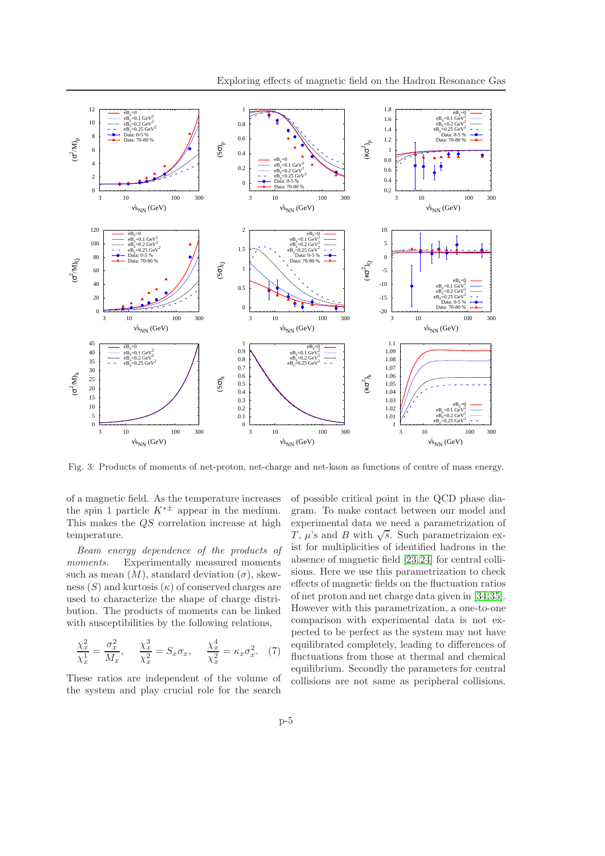

<span id="page-4-0"></span>Fig. 3: Products of moments of net-proton, net-charge and net-kaon as functions of centre of mass energy.

of a magnetic field. As the temperature increases the spin 1 particle  $K^{*\pm}$  appear in the medium. This makes the QS correlation increase at high temperature.

Beam energy dependence of the products of moments. Experimentally measured moments such as mean  $(M)$ , standard deviation  $(\sigma)$ , skewness  $(S)$  and kurtosis  $(\kappa)$  of conserved charges are used to characterize the shape of charge distribution. The products of moments can be linked with susceptibilities by the following relations,

$$
\frac{\chi_x^2}{\chi_x^1} = \frac{\sigma_x^2}{M_x}, \quad \frac{\chi_x^3}{\chi_x^2} = S_x \sigma_x, \quad \frac{\chi_x^4}{\chi_x^2} = \kappa_x \sigma_x^2. \tag{7}
$$

These ratios are independent of the volume of the system and play crucial role for the search

of possible critical point in the QCD phase diagram. To make contact between our model and experimental data we need a parametrization of  $T, \mu$ 's and B with  $\sqrt{s}$ . Such parametrizaion exist for multiplicities of identified hadrons in the absence of magnetic field [\[23,](#page-6-20)[24\]](#page-6-40) for central collisions. Here we use this parametrization to check effects of magnetic fields on the fluctuation ratios of net proton and net charge data given in [\[34,](#page-6-28)[35\]](#page-6-29). However with this parametrization, a one-to-one comparison with experimental data is not expected to be perfect as the system may not have equilibrated completely, leading to differences of fluctuations from those at thermal and chemical equilibrium. Secondly the parameters for central collisions are not same as peripheral collisions.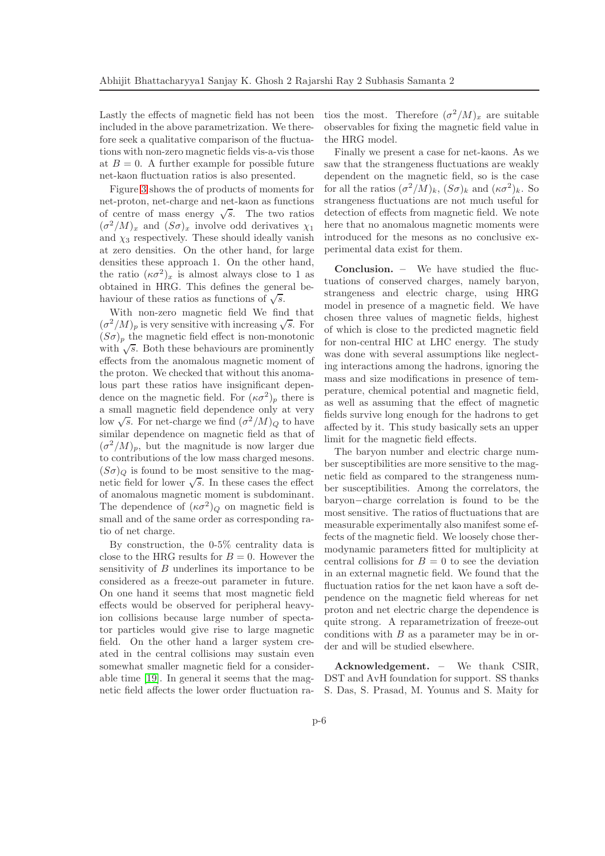Lastly the effects of magnetic field has not been included in the above parametrization. We therefore seek a qualitative comparison of the fluctuations with non-zero magnetic fields vis-a-vis those at  $B = 0$ . A further example for possible future net-kaon fluctuation ratios is also presented.

Figure [3](#page-4-0) shows the of products of moments for net-proton, net-charge and net-kaon as functions of centre of mass energy  $\sqrt{s}$ . The two ratios  $(\sigma^2/M)_x$  and  $(S\sigma)_x$  involve odd derivatives  $\chi_1$ and  $\chi_3$  respectively. These should ideally vanish at zero densities. On the other hand, for large densities these approach 1. On the other hand, the ratio  $(\kappa \sigma^2)_x$  is almost always close to 1 as obtained in HRG. This defines the general behaviour of these ratios as functions of  $\sqrt{s}$ .

With non-zero magnetic field We find that  $(\sigma^2/M)_p$  is very sensitive with increasing  $\sqrt{s}$ . For  $(S\sigma)_p$  the magnetic field effect is non-monotonic with  $\sqrt{s}$ . Both these behaviours are prominently effects from the anomalous magnetic moment of the proton. We checked that without this anomalous part these ratios have insignificant dependence on the magnetic field. For  $(\kappa \sigma^2)_p$  there is a small magnetic field dependence only at very low  $\sqrt{s}$ . For net-charge we find  $(\sigma^2/M)_{Q}$  to have similar dependence on magnetic field as that of  $(\sigma^2/M)_p$ , but the magnitude is now larger due to contributions of the low mass charged mesons.  $(S\sigma)_{\mathcal{O}}$  is found to be most sensitive to the magnetic field for lower  $\sqrt{s}$ . In these cases the effect of anomalous magnetic moment is subdominant. The dependence of  $(\kappa \sigma^2)_{Q}$  on magnetic field is small and of the same order as corresponding ratio of net charge.

By construction, the 0-5% centrality data is close to the HRG results for  $B = 0$ . However the sensitivity of B underlines its importance to be considered as a freeze-out parameter in future. On one hand it seems that most magnetic field effects would be observed for peripheral heavyion collisions because large number of spectator particles would give rise to large magnetic field. On the other hand a larger system created in the central collisions may sustain even somewhat smaller magnetic field for a considerable time [\[19\]](#page-6-17). In general it seems that the magnetic field affects the lower order fluctuation ra-

tios the most. Therefore  $(\sigma^2/M)_x$  are suitable observables for fixing the magnetic field value in the HRG model.

Finally we present a case for net-kaons. As we saw that the strangeness fluctuations are weakly dependent on the magnetic field, so is the case for all the ratios  $(\sigma^2/M)_k$ ,  $(S\sigma)_k$  and  $(\kappa \sigma^2)_k$ . So strangeness fluctuations are not much useful for detection of effects from magnetic field. We note here that no anomalous magnetic moments were introduced for the mesons as no conclusive experimental data exist for them.

Conclusion. – We have studied the fluctuations of conserved charges, namely baryon, strangeness and electric charge, using HRG model in presence of a magnetic field. We have chosen three values of magnetic fields, highest of which is close to the predicted magnetic field for non-central HIC at LHC energy. The study was done with several assumptions like neglecting interactions among the hadrons, ignoring the mass and size modifications in presence of temperature, chemical potential and magnetic field, as well as assuming that the effect of magnetic fields survive long enough for the hadrons to get affected by it. This study basically sets an upper limit for the magnetic field effects.

The baryon number and electric charge number susceptibilities are more sensitive to the magnetic field as compared to the strangeness number susceptibilities. Among the correlators, the baryon−charge correlation is found to be the most sensitive. The ratios of fluctuations that are measurable experimentally also manifest some effects of the magnetic field. We loosely chose thermodynamic parameters fitted for multiplicity at central collisions for  $B = 0$  to see the deviation in an external magnetic field. We found that the fluctuation ratios for the net kaon have a soft dependence on the magnetic field whereas for net proton and net electric charge the dependence is quite strong. A reparametrization of freeze-out conditions with  $B$  as a parameter may be in order and will be studied elsewhere.

Acknowledgement. – We thank CSIR, DST and AvH foundation for support. SS thanks S. Das, S. Prasad, M. Younus and S. Maity for